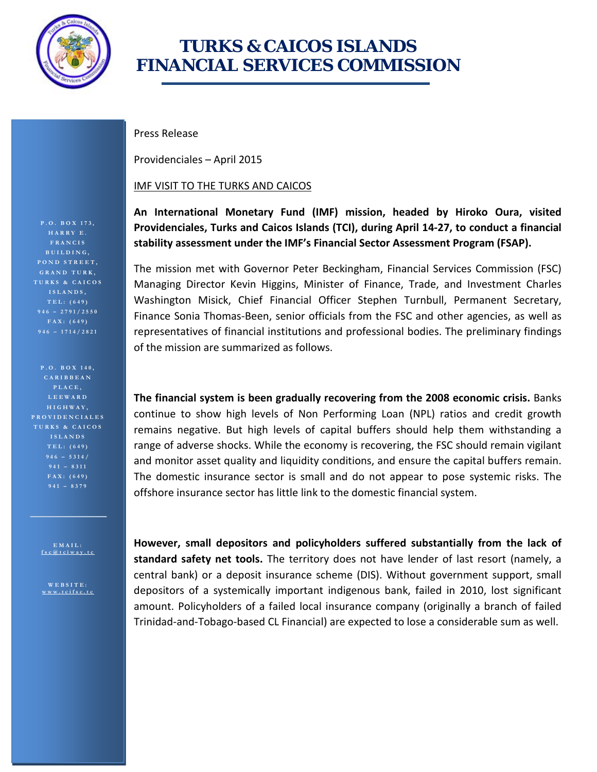

## **TURKS & CAICOS ISLANDS FINANCIAL SERVICES COMMISSION**

Press Release

Providenciales – April 2015

## IMF VISIT TO THE TURKS AND CAICOS

**An International Monetary Fund (IMF) mission, headed by Hiroko Oura, visited Providenciales, Turks and Caicos Islands (TCI), during April 14-27, to conduct a financial stability assessment under the IMF's Financial Sector Assessment Program (FSAP).**

The mission met with Governor Peter Beckingham, Financial Services Commission (FSC) Managing Director Kevin Higgins, Minister of Finance, Trade, and Investment Charles Washington Misick, Chief Financial Officer Stephen Turnbull, Permanent Secretary, Finance Sonia Thomas-Been, senior officials from the FSC and other agencies, as well as representatives of financial institutions and professional bodies. The preliminary findings of the mission are summarized as follows.

**The financial system is been gradually recovering from the 2008 economic crisis.** Banks continue to show high levels of Non Performing Loan (NPL) ratios and credit growth remains negative. But high levels of capital buffers should help them withstanding a range of adverse shocks. While the economy is recovering, the FSC should remain vigilant and monitor asset quality and liquidity conditions, and ensure the capital buffers remain. The domestic insurance sector is small and do not appear to pose systemic risks. The offshore insurance sector has little link to the domestic financial system.

**However, small depositors and policyholders suffered substantially from the lack of standard safety net tools.** The territory does not have lender of last resort (namely, a central bank) or a deposit insurance scheme (DIS). Without government support, small depositors of a systemically important indigenous bank, failed in 2010, lost significant amount. Policyholders of a failed local insurance company (originally a branch of failed Trinidad-and-Tobago-based CL Financial) are expected to lose a considerable sum as well.

**HARRY E. FRANCIS BUILDING, POND STREET, GRAND TURK, TURKS & CAICOS ISLANDS, TEL: (649) FAX: (649) 946 – 171 4 /2821**

**P.O. BOX 140, CARIBBEAN PLACE, LEEWARD HIGHWAY, PROVIDENCIALES TURKS & CAICOS ISLANDS TEL: (649) 946 – 5314/ 941 – 8311 FAX: (649)** 

> **EMAIL : [fsc@tciway.tc](mailto:fsc@tciway.tc)**

**WEBSITE : [www.tcifsc.tc](http://www.tcifsc.tc/)**